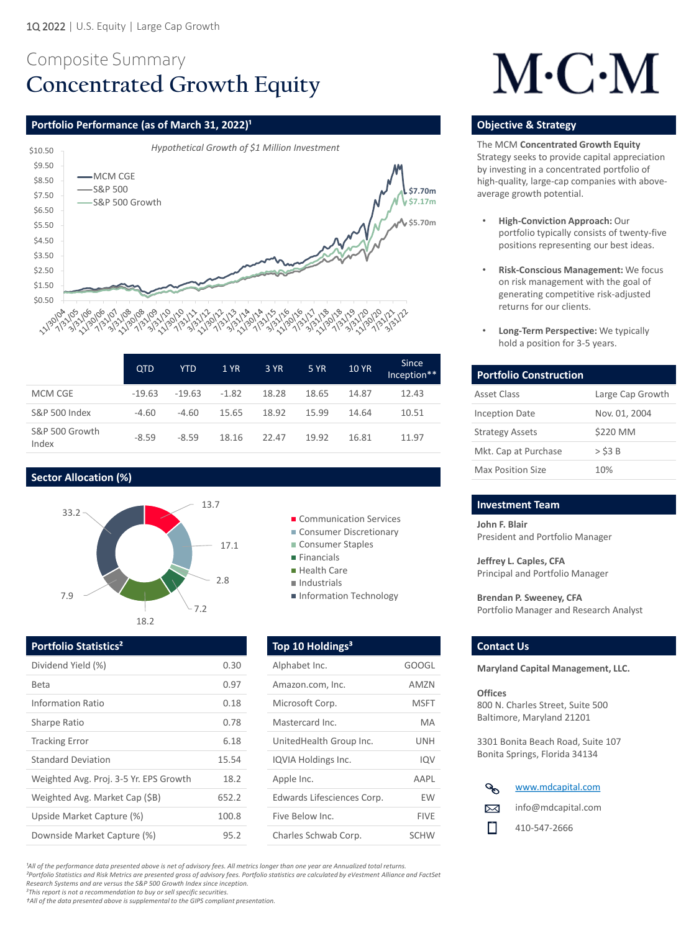## Composite Summary **Concentrated Growth Equity**

## **Portfolio Performance (as of March 31, 2022)<sup>1</sup> <b>Discription of American Control of Construction Constrategy in the Strategy of Constrategy in the Strategy of Constrategy in the Strategy of Constration Construction Constr**

*²Portfolio Statistics and Risk Metrics are presented gross of advisory fees. Portfolio statistics are calculated by eVestment Alliance and FactSet* 



*Research Systems and are versus the S&P 500 Growth Index since inception.*

*<sup>3</sup>This report is not a recommendation to buy or sell specific securities.* 

*†All of the data presented above is supplemental to the GIPS compliant presentation.* 

|                          | <b>QTD</b> | <b>YTD</b> | <b>1 YR</b> | 3 YR  | <b>5 YR</b> | <b>10 YR</b> | <b>Since</b><br>Inception** |
|--------------------------|------------|------------|-------------|-------|-------------|--------------|-----------------------------|
| <b>MCM CGE</b>           | $-19.63$   | $-19.63$   | $-1.82$     | 18.28 | 18.65       | 14.87        | 12.43                       |
| <b>S&amp;P 500 Index</b> | $-4.60$    | $-4.60$    | 15.65       | 18.92 | 15.99       | 14.64        | 10.51                       |
| S&P 500 Growth<br>Index  | $-8.59$    | $-8.59$    | 18.16       | 22.47 | 19.92       | 16.81        | 11.97                       |



- 
- Consumer Discretionary
- Consumer Staples
- **Financials**
- Health Care
- Industrials
- **Information Technology**

# $M\cdot C\cdot M$

**John F. Blair**  President and Portfolio Manager

**Jeffrey L. Caples, CFA**  Principal and Portfolio Manager

**Brendan P. Sweeney, CFA**  Portfolio Manager and Research Analyst

**Portfolio Statistics<sup>2</sup> Contact Us and Top 10 Holdings<sup>3</sup> Contact Us** 

| Dividend Yield (%)                     | 0.30  | Alpha        |
|----------------------------------------|-------|--------------|
| <b>Beta</b>                            | 0.97  | Ama          |
| <b>Information Ratio</b>               | 0.18  | Micro        |
| <b>Sharpe Ratio</b>                    | 0.78  | Mast         |
| <b>Tracking Error</b>                  | 6.18  | Unite        |
| <b>Standard Deviation</b>              | 15.54 | <b>IQVIA</b> |
| Weighted Avg. Proj. 3-5 Yr. EPS Growth | 18.2  | Apple        |
| Weighted Avg. Market Cap (\$B)         | 652.2 | Edwa         |
| Upside Market Capture (%)              | 100.8 | Five I       |
| Downside Market Capture (%)            | 95.2  | Charl        |

The MCM **Concentrated Growth Equity**  Strategy seeks to provide capital appreciation by investing in a concentrated portfolio of high-quality, large-cap companies with aboveaverage growth potential.

| <b>Portfolio Construction</b> |                  |
|-------------------------------|------------------|
| Asset Class                   | Large Cap Growth |
| <b>Inception Date</b>         | Nov. 01, 2004    |
| <b>Strategy Assets</b>        | \$220 MM         |
| Mkt. Cap at Purchase          | $>$ \$3 B        |
| <b>Max Position Size</b>      | 10%              |

#### **Investment Team**

- **High-Conviction Approach:** Our portfolio typically consists of twenty-five positions representing our best ideas.
- **Risk-Conscious Management:** We focus on risk management with the goal of generating competitive risk-adjusted returns for our clients.
- **Long-Term Perspective:** We typically hold a position for 3-5 years.

### **Sector Allocation (%)**



<sup>1</sup>All of the performance data presented above is net of advisory fees. All metrics longer than one year are Annualized total returns.

**Maryland Capital Management, LLC.**

#### **Offices**

800 N. Charles Street, Suite 500 Baltimore, Maryland 21201

3301 Bonita Beach Road, Suite 107 Bonita Springs, Florida 34134

| Alphabet Inc.              | GOOGL       |
|----------------------------|-------------|
| Amazon.com, Inc.           | <b>AMZN</b> |
| Microsoft Corp.            | <b>MSFT</b> |
| Mastercard Inc.            | MA          |
| UnitedHealth Group Inc.    | UNH         |
| IQVIA Holdings Inc.        | IQV         |
| Apple Inc.                 | AAPL        |
| Edwards Lifesciences Corp. | EW          |
| Five Below Inc.            | <b>FIVE</b> |
| Charles Schwab Corp.       | <b>SCHW</b> |